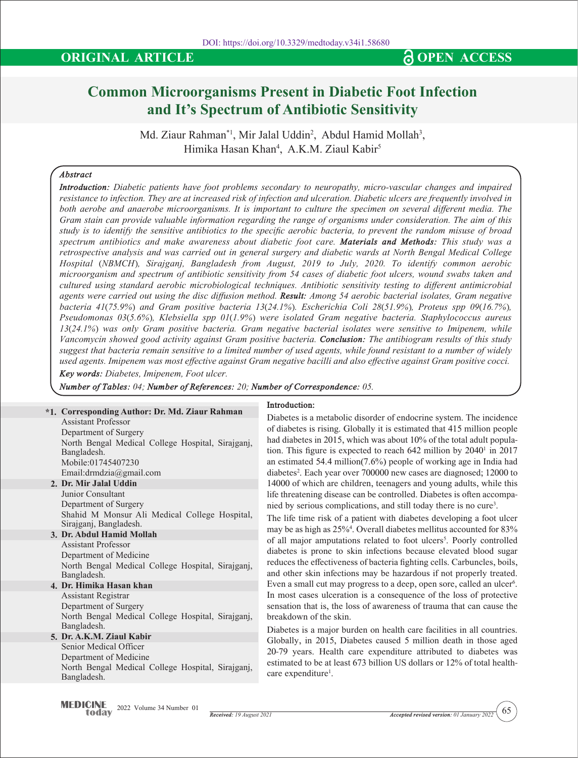# **Common Microorganisms Present in Diabetic Foot Infection and It's Spectrum of Antibiotic Sensitivity**

Md. Ziaur Rahman\*1, Mir Jalal Uddin<sup>2</sup>, Abdul Hamid Mollah<sup>3</sup>, Himika Hasan Khan4 , A.K.M. Ziaul Kabir5

# *Abstract*

*Introduction: Diabetic patients have foot problems secondary to neuropathy, micro-vascular changes and impaired resistance to infection. They are at increased risk of infection and ulceration. Diabetic ulcers are frequently involved in*  both aerobe and anaerobe microorganisms. It is important to culture the specimen on several different media. The *Gram stain can provide valuable information regarding the range of organisms under consideration. The aim of this study is to identify the sensitive antibiotics to the specific aerobic bacteria, to prevent the random misuse of broad spectrum antibiotics and make awareness about diabetic foot care. Materials and Methods: This study was a retrospective analysis and was carried out in general surgery and diabetic wards at North Bengal Medical College Hospital (NBMCH), Sirajganj, Bangladesh from August, 2019 to July, 2020. To identify common aerobic microorganism and spectrum of antibiotic sensitivity from 54 cases of diabetic foot ulcers, wound swabs taken and cultured using standard aerobic microbiological techniques. Antibiotic sensitivity testing to different antimicrobial agents were carried out using the disc diffusion method. Result: Among 54 aerobic bacterial isolates, Gram negative bacteria 41(75.9%) and Gram positive bacteria 13(24.1%). Escherichia Coli 28(51.9%), Proteus spp 09(16.7%), Pseudomonas 03(5.6%), Klebsiella spp 01(1.9%) were isolated Gram negative bacteria. Staphylococcus aureus 13(24.1%) was only Gram positive bacteria. Gram negative bacterial isolates were sensitive to Imipenem, while Vancomycin showed good activity against Gram positive bacteria. Conclusion: The antibiogram results of this study suggest that bacteria remain sensitive to a limited number of used agents, while found resistant to a number of widely used agents. Imipenem was most effective against Gram negative bacilli and also effective against Gram positive cocci.*

*Key words: Diabetes, Imipenem, Foot ulcer.*

*Number of Tables: 04; Number of References: 20; Number of Correspondence: 05.*

# **2. Dr. Mir Jalal Uddin 3. Dr. Abdul Hamid Mollah 4. Dr. Himika Hasan khan 5. Dr. A.K.M. Ziaul Kabir \*1. Corresponding Author: Dr. Md. Ziaur Rahman**  Assistant Professor Department of Surgery North Bengal Medical College Hospital, Sirajganj, Bangladesh. Mobile:01745407230 Email:drmdzia@gmail.com Junior Consultant Department of Surgery Shahid M Monsur Ali Medical College Hospital, Sirajganj, Bangladesh. Assistant Professor Department of Medicine North Bengal Medical College Hospital, Sirajganj, Bangladesh. Assistant Registrar Department of Surgery North Bengal Medical College Hospital, Sirajganj, Bangladesh. Senior Medical Officer Department of Medicine North Bengal Medical College Hospital, Sirajganj, Bangladesh.

# **Introduction:**

Diabetes is a metabolic disorder of endocrine system. The incidence of diabetes is rising. Globally it is estimated that 415 million people had diabetes in 2015, which was about 10% of the total adult population. This figure is expected to reach  $642$  million by  $2040<sup>1</sup>$  in 2017 an estimated 54.4 million(7.6%) people of working age in India had diabetes2 . Each year over 700000 new cases are diagnosed; 12000 to 14000 of which are children, teenagers and young adults, while this life threatening disease can be controlled. Diabetes is often accompanied by serious complications, and still today there is no cure3 .

The life time risk of a patient with diabetes developing a foot ulcer may be as high as 25%4 . Overall diabetes mellitus accounted for 83% of all major amputations related to foot ulcers<sup>5</sup>. Poorly controlled diabetes is prone to skin infections because elevated blood sugar reduces the effectiveness of bacteria fighting cells. Carbuncles, boils, and other skin infections may be hazardous if not properly treated. Even a small cut may progress to a deep, open sore, called an ulcer<sup>6</sup>. In most cases ulceration is a consequence of the loss of protective sensation that is, the loss of awareness of trauma that can cause the breakdown of the skin.

Diabetes is a major burden on health care facilities in all countries. Globally, in 2015, Diabetes caused 5 million death in those aged 20-79 years. Health care expenditure attributed to diabetes was estimated to be at least 673 billion US dollars or 12% of total healthcare expenditure<sup>1</sup>.

65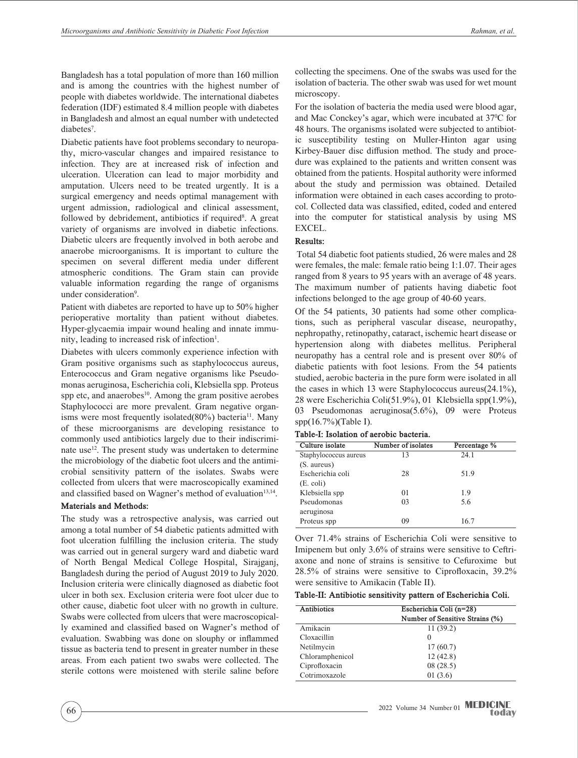Bangladesh has a total population of more than 160 million and is among the countries with the highest number of people with diabetes worldwide. The international diabetes federation (IDF) estimated 8.4 million people with diabetes in Bangladesh and almost an equal number with undetected diabetes<sup>7</sup>.

Diabetic patients have foot problems secondary to neuropathy, micro-vascular changes and impaired resistance to infection. They are at increased risk of infection and ulceration. Ulceration can lead to major morbidity and amputation. Ulcers need to be treated urgently. It is a surgical emergency and needs optimal management with urgent admission, radiological and clinical assessment, followed by debridement, antibiotics if required<sup>8</sup>. A great variety of organisms are involved in diabetic infections. Diabetic ulcers are frequently involved in both aerobe and anaerobe microorganisms. It is important to culture the specimen on several different media under different atmospheric conditions. The Gram stain can provide valuable information regarding the range of organisms under consideration<sup>9</sup>.

Patient with diabetes are reported to have up to 50% higher perioperative mortality than patient without diabetes. Hyper-glycaemia impair wound healing and innate immunity, leading to increased risk of infection<sup>1</sup>.

Diabetes with ulcers commonly experience infection with Gram positive organisms such as staphylococcus aureus, Enterococcus and Gram negative organisms like Pseudomonas aeruginosa, Escherichia coli, Klebsiella spp. Proteus spp etc, and anaerobes $10$ . Among the gram positive aerobes Staphylococci are more prevalent. Gram negative organisms were most frequently isolated(80%) bacteria<sup>11</sup>. Many of these microorganisms are developing resistance to commonly used antibiotics largely due to their indiscriminate use<sup>12</sup>. The present study was undertaken to determine the microbiology of the diabetic foot ulcers and the antimicrobial sensitivity pattern of the isolates. Swabs were collected from ulcers that were macroscopically examined and classified based on Wagner's method of evaluation<sup>13,14</sup>.

## **Materials and Methods:**

The study was a retrospective analysis, was carried out among a total number of 54 diabetic patients admitted with foot ulceration fulfilling the inclusion criteria. The study was carried out in general surgery ward and diabetic ward of North Bengal Medical College Hospital, Sirajganj, Bangladesh during the period of August 2019 to July 2020. Inclusion criteria were clinically diagnosed as diabetic foot ulcer in both sex. Exclusion criteria were foot ulcer due to other cause, diabetic foot ulcer with no growth in culture. Swabs were collected from ulcers that were macroscopically examined and classified based on Wagner's method of evaluation. Swabbing was done on slouphy or inflammed tissue as bacteria tend to present in greater number in these areas. From each patient two swabs were collected. The sterile cottons were moistened with sterile saline before

collecting the specimens. One of the swabs was used for the isolation of bacteria. The other swab was used for wet mount microscopy.

For the isolation of bacteria the media used were blood agar, and Mac Conckey's agar, which were incubated at 370 C for 48 hours. The organisms isolated were subjected to antibiotic susceptibility testing on Muller-Hinton agar using Kirbey-Bauer disc diffusion method. The study and procedure was explained to the patients and written consent was obtained from the patients. Hospital authority were informed about the study and permission was obtained. Detailed information were obtained in each cases according to protocol. Collected data was classified, edited, coded and entered into the computer for statistical analysis by using MS EXCEL.

# **Results:**

 Total 54 diabetic foot patients studied, 26 were males and 28 were females, the male: female ratio being 1:1.07. Their ages ranged from 8 years to 95 years with an average of 48 years. The maximum number of patients having diabetic foot infections belonged to the age group of 40-60 years.

Of the 54 patients, 30 patients had some other complications, such as peripheral vascular disease, neuropathy, nephropathy, retinopathy, cataract, ischemic heart disease or hypertension along with diabetes mellitus. Peripheral neuropathy has a central role and is present over 80% of diabetic patients with foot lesions. From the 54 patients studied, aerobic bacteria in the pure form were isolated in all the cases in which 13 were Staphylococcus aureus(24.1%), 28 were Escherichia Coli(51.9%), 01 Klebsiella spp(1.9%), 03 Pseudomonas aeruginosa(5.6%), 09 were Proteus spp(16.7%)(Table I).

| Culture isolate       | Number of isolates | Percentage % |
|-----------------------|--------------------|--------------|
| Staphylococcus aureus | 13                 | 24.1         |
| (S. aureus)           |                    |              |
| Escherichia coli      | 28                 | 51.9         |
| $(E. \text{ coli})$   |                    |              |
| Klebsiella spp        | 0 <sub>1</sub>     | 1.9          |
| Pseudomonas           | 03                 | 5.6          |
| aeruginosa            |                    |              |
| Proteus spp           | 09                 | 16.7         |

Over 71.4% strains of Escherichia Coli were sensitive to Imipenem but only 3.6% of strains were sensitive to Ceftriaxone and none of strains is sensitive to Cefuroxime but 28.5% of strains were sensitive to Ciprofloxacin, 39.2% were sensitive to Amikacin (Table II).

| Table-II: Antibiotic sensitivity pattern of Escherichia Coli. |  |  |  |
|---------------------------------------------------------------|--|--|--|
|---------------------------------------------------------------|--|--|--|

| Antibiotics     | Escherichia Coli (n=28)         |
|-----------------|---------------------------------|
|                 | Number of Sensitive Strains (%) |
| Amikacin        | 11(39.2)                        |
| Cloxacillin     | $\Omega$                        |
| Netilmycin      | 17(60.7)                        |
| Chloramphenicol | 12(42.8)                        |
| Ciprofloxacin   | 08(28.5)                        |
| Cotrimoxazole   | 01(3.6)                         |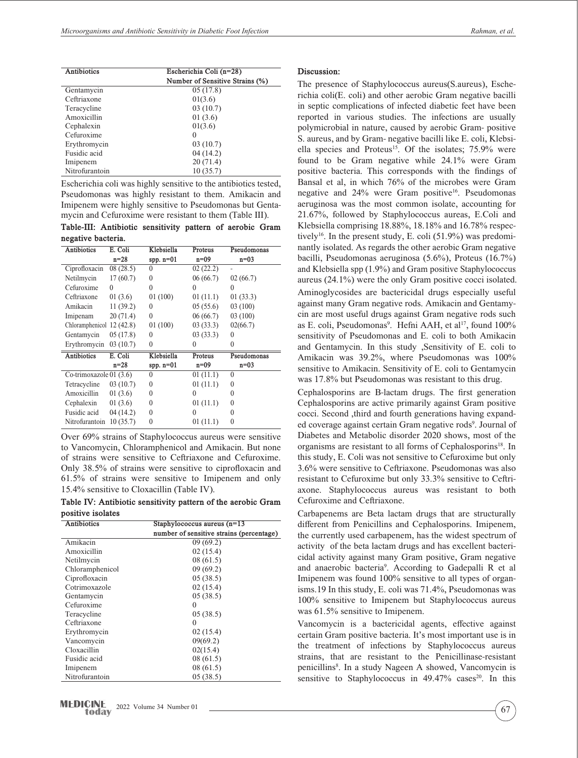| Antibiotics    | Escherichia Coli (n=28)         |
|----------------|---------------------------------|
|                | Number of Sensitive Strains (%) |
| Gentamycin     | 05(17.8)                        |
| Ceftriaxone    | 01(3.6)                         |
| Teracycline    | 03(10.7)                        |
| Amoxicillin    | 01(3.6)                         |
| Cephalexin     | 01(3.6)                         |
| Cefuroxime     | $_{0}$                          |
| Erythromycin   | 03(10.7)                        |
| Fusidic acid   | 04 (14.2)                       |
| Imipenem       | 20(71.4)                        |
| Nitrofurantoin | 10(35.7)                        |

Escherichia coli was highly sensitive to the antibiotics tested, Pseudomonas was highly resistant to them. Amikacin and Imipenem were highly sensitive to Pseudomonas but Gentamycin and Cefuroxime were resistant to them (Table III).

**Table-III: Antibiotic sensitivity pattern of aerobic Gram negative bacteria.**

| <b>Antibiotics</b>       | E. Coli   | Klebsiella   | Proteus   | Pseudomonas |
|--------------------------|-----------|--------------|-----------|-------------|
|                          | $n=28$    | spp. $n=01$  | $n=09$    | $n=03$      |
| Ciprofloxacin            | 08(28.5)  | $\theta$     | 02 (22.2) |             |
| Netilmycin               | 17(60.7)  | $\theta$     | 06 (66.7) | 02(66.7)    |
| Cefuroxime               | 0         | $\Omega$     | 0         | $\Omega$    |
| Ceftriaxone              | 01(3.6)   | 01(100)      | 01(11.1)  | 01(33.3)    |
| Amikacin                 | 11 (39.2) | $\theta$     | 05(55.6)  | 03(100)     |
| Imipenam                 | 20(71.4)  | $\theta$     | 06(66.7)  | 03 (100)    |
| Chloramphenicol          | 12(42.8)  | 01(100)      | 03(33.3)  | 02(66.7)    |
| Gentamycin               | 05(17.8)  | $\theta$     | 03(33.3)  | $\Omega$    |
| Erythromycin             | 03(10.7)  | $\theta$     | 0         | 0           |
| <b>Antibiotics</b>       | E. Coli   | Klebsiella   | Proteus   | Pseudomonas |
|                          | $n=28$    | spp. $n=01$  | $n=09$    | $n=03$      |
| Co-trimoxazole $01(3.6)$ |           | 0            | 01(11.1)  | $\theta$    |
| Tetracycline             | 03(10.7)  | $\theta$     | 01 (11.1) | $\theta$    |
| Amoxicillin              | 01(3.6)   | $\theta$     | 0         | 0           |
| Cephalexin               | 01(3.6)   | $\theta$     | 01(11.1)  | $\theta$    |
| Fusidic acid             | 04 (14.2) | $\mathbf{0}$ | 0         | $\theta$    |
| Nitrofurantoin           | 10(35.7)  | $\mathbf{0}$ | 01(11.1)  | 0           |

Over 69% strains of Staphylococcus aureus were sensitive to Vancomycin, Chloramphenicol and Amikacin. But none of strains were sensitive to Ceftriaxone and Cefuroxime. Only 38.5% of strains were sensitive to ciprofloxacin and 61.5% of strains were sensitive to Imipenem and only 15.4% sensitive to Cloxacillin (Table IV).

**Table IV: Antibiotic sensitivity pattern of the aerobic Gram positive isolates**

| Antibiotics     | Staphylococcus aureus $(n=13)$           |  |
|-----------------|------------------------------------------|--|
|                 | number of sensitive strains (percentage) |  |
| Amikacin        | 09(69.2)                                 |  |
| Amoxicillin     | 02(15.4)                                 |  |
| Netilmycin      | 08(61.5)                                 |  |
| Chloramphenicol | 09(69.2)                                 |  |
| Ciprofloxacin   | 05(38.5)                                 |  |
| Cotrimoxazole   | 02(15.4)                                 |  |
| Gentamycin      | 05(38.5)                                 |  |
| Cefuroxime      | $\Omega$                                 |  |
| Teracycline     | 05(38.5)                                 |  |
| Ceftriaxone     | $\Omega$                                 |  |
| Erythromycin    | 02(15.4)                                 |  |
| Vancomycin      | 09(69.2)                                 |  |
| Cloxacillin     | 02(15.4)                                 |  |
| Fusidic acid    | 08(61.5)                                 |  |
| Imipenem        | 08(61.5)                                 |  |
| Nitrofurantoin  | 05(38.5)                                 |  |

### **Discussion:**

The presence of Staphylococcus aureus(S.aureus), Escherichia coli(E. coli) and other aerobic Gram negative bacilli in septic complications of infected diabetic feet have been reported in various studies. The infections are usually polymicrobial in nature, caused by aerobic Gram- positive S. aureus, and by Gram- negative bacilli like E. coli, Klebsiella species and Proteus<sup>15</sup>. Of the isolates;  $75.9\%$  were found to be Gram negative while 24.1% were Gram positive bacteria. This corresponds with the findings of Bansal et al, in which 76% of the microbes were Gram negative and 24% were Gram positive<sup>16</sup>. Pseudomonas aeruginosa was the most common isolate, accounting for 21.67%, followed by Staphylococcus aureas, E.Coli and Klebsiella comprising 18.88%, 18.18% and 16.78% respectively<sup>16</sup>. In the present study, E. coli (51.9%) was predominantly isolated. As regards the other aerobic Gram negative bacilli, Pseudomonas aeruginosa (5.6%), Proteus (16.7%) and Klebsiella spp (1.9%) and Gram positive Staphylococcus aureus (24.1%) were the only Gram positive cocci isolated. Aminoglycosides are bactericidal drugs especially useful against many Gram negative rods. Amikacin and Gentamycin are most useful drugs against Gram negative rods such as E. coli, Pseudomonas<sup>9</sup>. Hefni AAH, et al<sup>17</sup>, found  $100\%$ sensitivity of Pseudomonas and E. coli to both Amikacin and Gentamycin. In this study ,Sensitivity of E. coli to Amikacin was 39.2%, where Pseudomonas was 100% sensitive to Amikacin. Sensitivity of E. coli to Gentamycin was 17.8% but Pseudomonas was resistant to this drug.

Cephalosporins are B-lactam drugs. The first generation Cephalosporins are active primarily against Gram positive cocci. Second ,third and fourth generations having expanded coverage against certain Gram negative rods<sup>9</sup>. Journal of Diabetes and Metabolic disorder 2020 shows, most of the organisms are resistant to all forms of Cephalosporins<sup>18</sup>. In this study, E. Coli was not sensitive to Cefuroxime but only 3.6% were sensitive to Ceftriaxone. Pseudomonas was also resistant to Cefuroxime but only 33.3% sensitive to Ceftriaxone. Staphylococcus aureus was resistant to both Cefuroxime and Ceftriaxone.

Carbapenems are Beta lactam drugs that are structurally different from Penicillins and Cephalosporins. Imipenem, the currently used carbapenem, has the widest spectrum of activity of the beta lactam drugs and has excellent bactericidal activity against many Gram positive, Gram negative and anaerobic bacteria9 . According to Gadepalli R et al Imipenem was found 100% sensitive to all types of organisms.19 In this study, E. coli was 71.4%, Pseudomonas was 100% sensitive to Imipenem but Staphylococcus aureus was 61.5% sensitive to Imipenem.

Vancomycin is a bactericidal agents, effective against certain Gram positive bacteria. It's most important use is in the treatment of infections by Staphylococcus aureus strains, that are resistant to the Penicillinase-resistant penicillins<sup>8</sup>. In a study Nageen A showed, Vancomycin is sensitive to Staphylococcus in  $49.47\%$  cases<sup>20</sup>. In this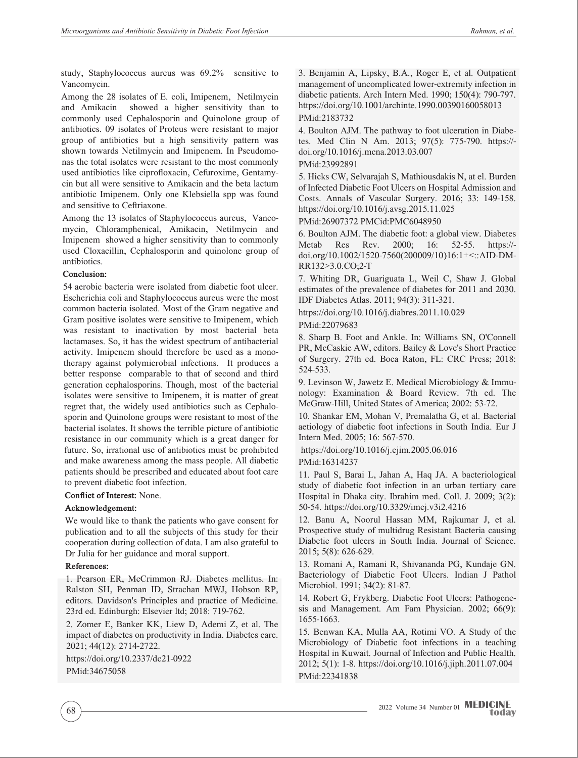study, Staphylococcus aureus was 69.2% sensitive to Vancomycin.

Among the 28 isolates of E. coli, Imipenem, Netilmycin and Amikacin showed a higher sensitivity than to showed a higher sensitivity than to commonly used Cephalosporin and Quinolone group of antibiotics. 09 isolates of Proteus were resistant to major group of antibiotics but a high sensitivity pattern was shown towards Netilmycin and Imipenem. In Pseudomonas the total isolates were resistant to the most commonly used antibiotics like ciprofloxacin, Cefuroxime, Gentamycin but all were sensitive to Amikacin and the beta lactum antibiotic Imipenem. Only one Klebsiella spp was found and sensitive to Ceftriaxone.

Among the 13 isolates of Staphylococcus aureus, Vancomycin, Chloramphenical, Amikacin, Netilmycin and Imipenem showed a higher sensitivity than to commonly used Cloxacillin, Cephalosporin and quinolone group of antibiotics.

#### **Conclusion:**

54 aerobic bacteria were isolated from diabetic foot ulcer. Escherichia coli and Staphylococcus aureus were the most common bacteria isolated. Most of the Gram negative and Gram positive isolates were sensitive to Imipenem, which was resistant to inactivation by most bacterial beta lactamases. So, it has the widest spectrum of antibacterial activity. Imipenem should therefore be used as a monotherapy against polymicrobial infections. It produces a better response comparable to that of second and third generation cephalosporins. Though, most of the bacterial isolates were sensitive to Imipenem, it is matter of great regret that, the widely used antibiotics such as Cephalosporin and Quinolone groups were resistant to most of the bacterial isolates. It shows the terrible picture of antibiotic resistance in our community which is a great danger for future. So, irrational use of antibiotics must be prohibited and make awareness among the mass people. All diabetic patients should be prescribed and educated about foot care to prevent diabetic foot infection.

#### **Conflict of Interest:** None.

#### **Acknowledgement:**

We would like to thank the patients who gave consent for publication and to all the subjects of this study for their cooperation during collection of data. I am also grateful to Dr Julia for her guidance and moral support.

#### **References:**

1. Pearson ER, McCrimmon RJ. Diabetes mellitus. In: Ralston SH, Penman ID, Strachan MWJ, Hobson RP, editors. Davidson's Principles and practice of Medicine. 23rd ed. Edinburgh: Elsevier ltd; 2018: 719-762.

2. Zomer E, Banker KK, Liew D, Ademi Z, et al. The impact of diabetes on productivity in India. Diabetes care. 2021; 44(12): 2714-2722.

https://doi.org/10.2337/dc21-0922 PMid:34675058

3. Benjamin A, Lipsky, B.A., Roger E, et al. Outpatient management of uncomplicated lower-extremity infection in diabetic patients. Arch Intern Med. 1990; 150(4): 790-797. https://doi.org/10.1001/archinte.1990.00390160058013

# PMid:2183732

4. Boulton AJM. The pathway to foot ulceration in Diabetes. Med Clin N Am. 2013; 97(5): 775-790. https:// doi.org/10.1016/j.mcna.2013.03.007

## PMid:23992891

5. Hicks CW, Selvarajah S, Mathiousdakis N, at el. Burden of Infected Diabetic Foot Ulcers on Hospital Admission and Costs. Annals of Vascular Surgery. 2016; 33: 149-158. https://doi.org/10.1016/j.avsg.2015.11.025

PMid:26907372 PMCid:PMC6048950

6. Boulton AJM. The diabetic foot: a global view. Diabetes Metab Res Rev. 2000; 16: 52-55. https:// doi.org/10.1002/1520-7560(200009/10)16:1+<::AID-DM-RR132>3.0.CO;2-T

7. Whiting DR, Guariguata L, Weil C, Shaw J. Global estimates of the prevalence of diabetes for 2011 and 2030. IDF Diabetes Atlas. 2011; 94(3): 311-321.

https://doi.org/10.1016/j.diabres.2011.10.029

PMid:22079683

8. Sharp B. Foot and Ankle. In: Williams SN, O'Connell PR, McCaskie AW, editors. Bailey & Love's Short Practice of Surgery. 27th ed. Boca Raton, FL: CRC Press; 2018: 524-533.

9. Levinson W, Jawetz E. Medical Microbiology & Immunology: Examination & Board Review. 7th ed. The McGraw-Hill, United States of America; 2002: 53-72.

10. Shankar EM, Mohan V, Premalatha G, et al. Bacterial aetiology of diabetic foot infections in South India. Eur J Intern Med. 2005; 16: 567-570.

https://doi.org/10.1016/j.ejim.2005.06.016

PMid:16314237

11. Paul S, Barai L, Jahan A, Haq JA. A bacteriological study of diabetic foot infection in an urban tertiary care Hospital in Dhaka city. Ibrahim med. Coll. J. 2009; 3(2): 50-54. https://doi.org/10.3329/imcj.v3i2.4216

12. Banu A, Noorul Hassan MM, Rajkumar J, et al. Prospective study of multidrug Resistant Bacteria causing Diabetic foot ulcers in South India. Journal of Science. 2015; 5(8): 626-629.

13. Romani A, Ramani R, Shivananda PG, Kundaje GN. Bacteriology of Diabetic Foot Ulcers. Indian J Pathol Microbiol. 1991; 34(2): 81-87.

14. Robert G, Frykberg. Diabetic Foot Ulcers: Pathogenesis and Management. Am Fam Physician. 2002; 66(9): 1655-1663.

15. Benwan KA, Mulla AA, Rotimi VO. A Study of the Microbiology of Diabetic foot infections in a teaching Hospital in Kuwait. Journal of Infection and Public Health. 2012; 5(1): 1-8. https://doi.org/10.1016/j.jiph.2011.07.004 PMid:22341838